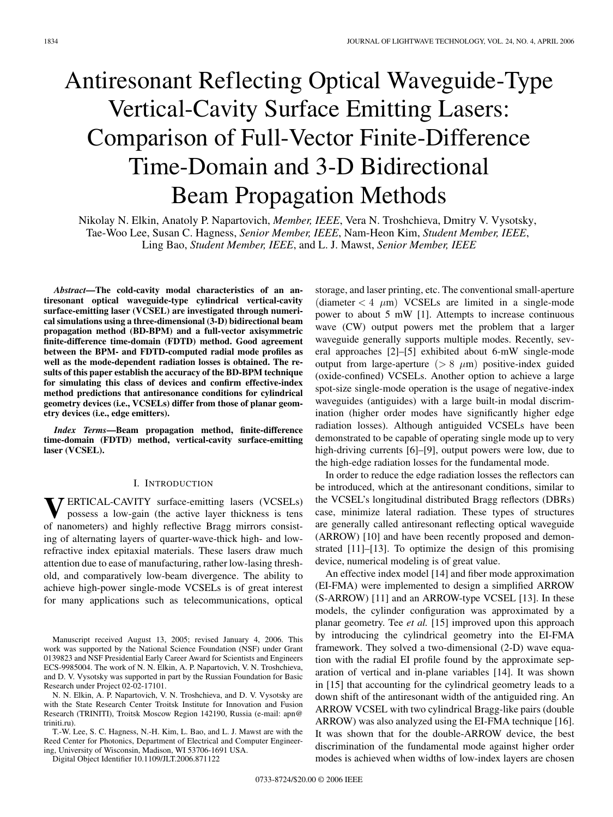# Antiresonant Reflecting Optical Waveguide-Type Vertical-Cavity Surface Emitting Lasers: Comparison of Full-Vector Finite-Difference Time-Domain and 3-D Bidirectional Beam Propagation Methods

Nikolay N. Elkin, Anatoly P. Napartovich, *Member, IEEE*, Vera N. Troshchieva, Dmitry V. Vysotsky, Tae-Woo Lee, Susan C. Hagness, *Senior Member, IEEE*, Nam-Heon Kim, *Student Member, IEEE*, Ling Bao, *Student Member, IEEE*, and L. J. Mawst, *Senior Member, IEEE*

*Abstract***—The cold-cavity modal characteristics of an antiresonant optical waveguide-type cylindrical vertical-cavity surface-emitting laser (VCSEL) are investigated through numerical simulations using a three-dimensional (3-D) bidirectional beam propagation method (BD-BPM) and a full-vector axisymmetric finite-difference time-domain (FDTD) method. Good agreement between the BPM- and FDTD-computed radial mode profiles as well as the mode-dependent radiation losses is obtained. The results of this paper establish the accuracy of the BD-BPM technique for simulating this class of devices and confirm effective-index method predictions that antiresonance conditions for cylindrical geometry devices (i.e., VCSELs) differ from those of planar geometry devices (i.e., edge emitters).**

*Index Terms***—Beam propagation method, finite-difference time-domain (FDTD) method, vertical-cavity surface-emitting laser (VCSEL).**

# I. INTRODUCTION

**T** ERTICAL-CAVITY surface-emitting lasers (VCSELs) possess a low-gain (the active layer thickness is tens of nanometers) and highly reflective Bragg mirrors consisting of alternating layers of quarter-wave-thick high- and lowrefractive index epitaxial materials. These lasers draw much attention due to ease of manufacturing, rather low-lasing threshold, and comparatively low-beam divergence. The ability to achieve high-power single-mode VCSELs is of great interest for many applications such as telecommunications, optical

Manuscript received August 13, 2005; revised January 4, 2006. This work was supported by the National Science Foundation (NSF) under Grant 0139823 and NSF Presidential Early Career Award for Scientists and Engineers ECS-9985004. The work of N. N. Elkin, A. P. Napartovich, V. N. Troshchieva, and D. V. Vysotsky was supported in part by the Russian Foundation for Basic Research under Project 02-02-17101.

N. N. Elkin, A. P. Napartovich, V. N. Troshchieva, and D. V. Vysotsky are with the State Research Center Troitsk Institute for Innovation and Fusion Research (TRINITI), Troitsk Moscow Region 142190, Russia (e-mail: apn@ triniti.ru).

T.-W. Lee, S. C. Hagness, N.-H. Kim, L. Bao, and L. J. Mawst are with the Reed Center for Photonics, Department of Electrical and Computer Engineering, University of Wisconsin, Madison, WI 53706-1691 USA.

Digital Object Identifier 10.1109/JLT.2006.871122

storage, and laser printing, etc. The conventional small-aperture (diameter  $< 4 \mu m$ ) VCSELs are limited in a single-mode power to about 5 mW [1]. Attempts to increase continuous wave (CW) output powers met the problem that a larger waveguide generally supports multiple modes. Recently, several approaches [2]–[5] exhibited about 6-mW single-mode output from large-aperture ( $> 8 \mu m$ ) positive-index guided (oxide-confined) VCSELs. Another option to achieve a large spot-size single-mode operation is the usage of negative-index waveguides (antiguides) with a large built-in modal discrimination (higher order modes have significantly higher edge radiation losses). Although antiguided VCSELs have been demonstrated to be capable of operating single mode up to very high-driving currents [6]–[9], output powers were low, due to the high-edge radiation losses for the fundamental mode.

In order to reduce the edge radiation losses the reflectors can be introduced, which at the antiresonant conditions, similar to the VCSEL's longitudinal distributed Bragg reflectors (DBRs) case, minimize lateral radiation. These types of structures are generally called antiresonant reflecting optical waveguide (ARROW) [10] and have been recently proposed and demonstrated [11]–[13]. To optimize the design of this promising device, numerical modeling is of great value.

An effective index model [14] and fiber mode approximation (EI-FMA) were implemented to design a simplified ARROW (S-ARROW) [11] and an ARROW-type VCSEL [13]. In these models, the cylinder configuration was approximated by a planar geometry. Tee *et al.* [15] improved upon this approach by introducing the cylindrical geometry into the EI-FMA framework. They solved a two-dimensional (2-D) wave equation with the radial EI profile found by the approximate separation of vertical and in-plane variables [14]. It was shown in [15] that accounting for the cylindrical geometry leads to a down shift of the antiresonant width of the antiguided ring. An ARROW VCSEL with two cylindrical Bragg-like pairs (double ARROW) was also analyzed using the EI-FMA technique [16]. It was shown that for the double-ARROW device, the best discrimination of the fundamental mode against higher order modes is achieved when widths of low-index layers are chosen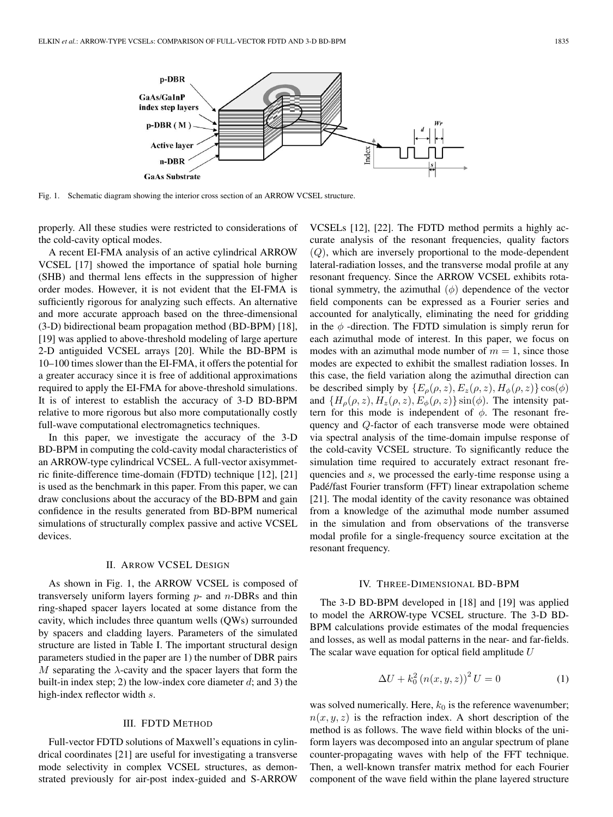

Fig. 1. Schematic diagram showing the interior cross section of an ARROW VCSEL structure.

properly. All these studies were restricted to considerations of the cold-cavity optical modes.

A recent EI-FMA analysis of an active cylindrical ARROW VCSEL [17] showed the importance of spatial hole burning (SHB) and thermal lens effects in the suppression of higher order modes. However, it is not evident that the EI-FMA is sufficiently rigorous for analyzing such effects. An alternative and more accurate approach based on the three-dimensional (3-D) bidirectional beam propagation method (BD-BPM) [18], [19] was applied to above-threshold modeling of large aperture 2-D antiguided VCSEL arrays [20]. While the BD-BPM is 10–100 times slower than the EI-FMA, it offers the potential for a greater accuracy since it is free of additional approximations required to apply the EI-FMA for above-threshold simulations. It is of interest to establish the accuracy of 3-D BD-BPM relative to more rigorous but also more computationally costly full-wave computational electromagnetics techniques.

In this paper, we investigate the accuracy of the 3-D BD-BPM in computing the cold-cavity modal characteristics of an ARROW-type cylindrical VCSEL. A full-vector axisymmetric finite-difference time-domain (FDTD) technique [12], [21] is used as the benchmark in this paper. From this paper, we can draw conclusions about the accuracy of the BD-BPM and gain confidence in the results generated from BD-BPM numerical simulations of structurally complex passive and active VCSEL devices.

### II. ARROW VCSEL DESIGN

As shown in Fig. 1, the ARROW VCSEL is composed of transversely uniform layers forming  $p$ - and  $n$ -DBRs and thin ring-shaped spacer layers located at some distance from the cavity, which includes three quantum wells (QWs) surrounded by spacers and cladding layers. Parameters of the simulated structure are listed in Table I. The important structural design parameters studied in the paper are 1) the number of DBR pairs M separating the  $\lambda$ -cavity and the spacer layers that form the built-in index step; 2) the low-index core diameter  $d$ ; and 3) the high-index reflector width s.

#### III. FDTD METHOD

Full-vector FDTD solutions of Maxwell's equations in cylindrical coordinates [21] are useful for investigating a transverse mode selectivity in complex VCSEL structures, as demonstrated previously for air-post index-guided and S-ARROW

VCSELs [12], [22]. The FDTD method permits a highly accurate analysis of the resonant frequencies, quality factors  $(Q)$ , which are inversely proportional to the mode-dependent lateral-radiation losses, and the transverse modal profile at any resonant frequency. Since the ARROW VCSEL exhibits rotational symmetry, the azimuthal  $(\phi)$  dependence of the vector field components can be expressed as a Fourier series and accounted for analytically, eliminating the need for gridding in the  $\phi$  -direction. The FDTD simulation is simply rerun for each azimuthal mode of interest. In this paper, we focus on modes with an azimuthal mode number of  $m = 1$ , since those modes are expected to exhibit the smallest radiation losses. In this case, the field variation along the azimuthal direction can be described simply by  ${E_{\rho}(\rho, z), E_z(\rho, z), H_{\phi}(\rho, z)}$  cos( $\phi$ ) and  ${H_{\rho}(\rho, z), H_z(\rho, z), E_{\phi}(\rho, z)}$  sin( $\phi$ ). The intensity pattern for this mode is independent of  $\phi$ . The resonant frequency and Q-factor of each transverse mode were obtained via spectral analysis of the time-domain impulse response of the cold-cavity VCSEL structure. To significantly reduce the simulation time required to accurately extract resonant frequencies and s, we processed the early-time response using a Padé/fast Fourier transform (FFT) linear extrapolation scheme [21]. The modal identity of the cavity resonance was obtained from a knowledge of the azimuthal mode number assumed in the simulation and from observations of the transverse modal profile for a single-frequency source excitation at the resonant frequency.

# IV. THREE-DIMENSIONAL BD-BPM

The 3-D BD-BPM developed in [18] and [19] was applied to model the ARROW-type VCSEL structure. The 3-D BD-BPM calculations provide estimates of the modal frequencies and losses, as well as modal patterns in the near- and far-fields. The scalar wave equation for optical field amplitude  $U$ 

$$
\Delta U + k_0^2 (n(x, y, z))^2 U = 0
$$
 (1)

was solved numerically. Here,  $k_0$  is the reference wavenumber;  $n(x, y, z)$  is the refraction index. A short description of the method is as follows. The wave field within blocks of the uniform layers was decomposed into an angular spectrum of plane counter-propagating waves with help of the FFT technique. Then, a well-known transfer matrix method for each Fourier component of the wave field within the plane layered structure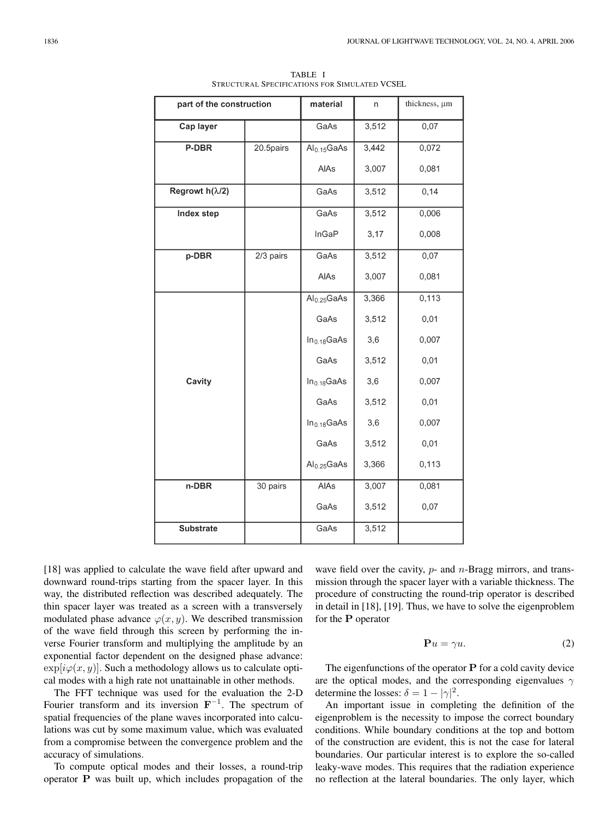| part of the construction |           | material                | n     | thickness, um |
|--------------------------|-----------|-------------------------|-------|---------------|
| Cap layer                |           | GaAs                    | 3,512 | 0,07          |
| P-DBR                    | 20.5pairs | Al <sub>0.15</sub> GaAs | 3,442 | 0,072         |
|                          |           | AIAs                    | 3,007 | 0,081         |
| Regrowt $h(\lambda/2)$   |           | GaAs                    | 3,512 | 0,14          |
| Index step               |           | GaAs                    | 3,512 | 0,006         |
|                          |           | InGaP                   | 3,17  | 0,008         |
| p-DBR                    | 2/3 pairs | GaAs                    | 3,512 | 0,07          |
|                          |           | AIAs                    | 3,007 | 0,081         |
|                          |           | $Al_{0.25}GaAs$         | 3,366 | 0,113         |
|                          |           | GaAs                    | 3,512 | 0,01          |
|                          |           | In <sub>0.18</sub> GaAs | 3,6   | 0,007         |
|                          |           | GaAs                    | 3,512 | 0,01          |
| Cavity                   |           | In <sub>0.18</sub> GaAs | 3,6   | 0,007         |
|                          |           | GaAs                    | 3,512 | 0,01          |
|                          |           | In <sub>0.18</sub> GaAs | 3,6   | 0,007         |
|                          |           | GaAs                    | 3,512 | 0,01          |
|                          |           | Al <sub>0.25</sub> GaAs | 3,366 | 0,113         |
| n-DBR                    | 30 pairs  | AlAs                    | 3,007 | 0,081         |
|                          |           | GaAs                    | 3,512 | 0,07          |
| <b>Substrate</b>         |           | GaAs                    | 3,512 |               |

TABLE I STRUCTURAL SPECIFICATIONS FOR SIMULATED VCSEL

[18] was applied to calculate the wave field after upward and downward round-trips starting from the spacer layer. In this way, the distributed reflection was described adequately. The thin spacer layer was treated as a screen with a transversely modulated phase advance  $\varphi(x, y)$ . We described transmission of the wave field through this screen by performing the inverse Fourier transform and multiplying the amplitude by an exponential factor dependent on the designed phase advance:  $\exp[i\varphi(x, y)]$ . Such a methodology allows us to calculate optical modes with a high rate not unattainable in other methods.

The FFT technique was used for the evaluation the 2-D Fourier transform and its inversion **F***−*<sup>1</sup>. The spectrum of spatial frequencies of the plane waves incorporated into calculations was cut by some maximum value, which was evaluated from a compromise between the convergence problem and the accuracy of simulations.

To compute optical modes and their losses, a round-trip operator **P** was built up, which includes propagation of the wave field over the cavity,  $p$ - and  $n$ -Bragg mirrors, and transmission through the spacer layer with a variable thickness. The procedure of constructing the round-trip operator is described in detail in [18], [19]. Thus, we have to solve the eigenproblem for the **P** operator

$$
\mathbf{P}u = \gamma u. \tag{2}
$$

The eigenfunctions of the operator **P** for a cold cavity device are the optical modes, and the corresponding eigenvalues  $\gamma$ determine the losses:  $\delta = 1 - |\gamma|^2$ .

An important issue in completing the definition of the eigenproblem is the necessity to impose the correct boundary conditions. While boundary conditions at the top and bottom of the construction are evident, this is not the case for lateral boundaries. Our particular interest is to explore the so-called leaky-wave modes. This requires that the radiation experience no reflection at the lateral boundaries. The only layer, which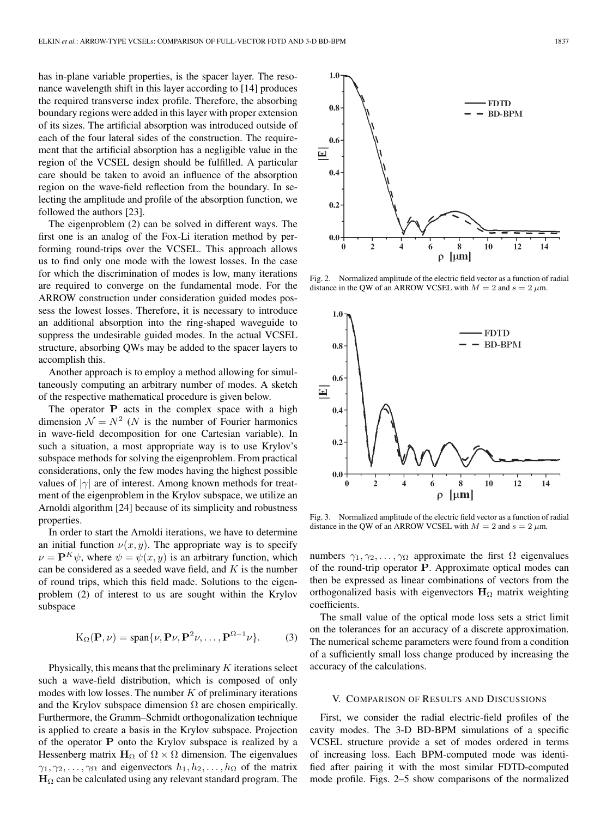has in-plane variable properties, is the spacer layer. The resonance wavelength shift in this layer according to [14] produces the required transverse index profile. Therefore, the absorbing boundary regions were added in this layer with proper extension of its sizes. The artificial absorption was introduced outside of each of the four lateral sides of the construction. The requirement that the artificial absorption has a negligible value in the region of the VCSEL design should be fulfilled. A particular care should be taken to avoid an influence of the absorption region on the wave-field reflection from the boundary. In selecting the amplitude and profile of the absorption function, we followed the authors [23].

The eigenproblem (2) can be solved in different ways. The first one is an analog of the Fox-Li iteration method by performing round-trips over the VCSEL. This approach allows us to find only one mode with the lowest losses. In the case for which the discrimination of modes is low, many iterations are required to converge on the fundamental mode. For the ARROW construction under consideration guided modes possess the lowest losses. Therefore, it is necessary to introduce an additional absorption into the ring-shaped waveguide to suppress the undesirable guided modes. In the actual VCSEL structure, absorbing QWs may be added to the spacer layers to accomplish this.

Another approach is to employ a method allowing for simultaneously computing an arbitrary number of modes. A sketch of the respective mathematical procedure is given below.

The operator **P** acts in the complex space with a high dimension  $\mathcal{N} = N^2$  (*N* is the number of Fourier harmonics in wave-field decomposition for one Cartesian variable). In such a situation, a most appropriate way is to use Krylov's subspace methods for solving the eigenproblem. From practical considerations, only the few modes having the highest possible values of *<sup>|</sup>*γ*<sup>|</sup>* are of interest. Among known methods for treatment of the eigenproblem in the Krylov subspace, we utilize an Arnoldi algorithm [24] because of its simplicity and robustness properties.

In order to start the Arnoldi iterations, we have to determine an initial function  $\nu(x, y)$ . The appropriate way is to specify  $\nu = \mathbf{P}^{K} \psi$ , where  $\psi = \psi(x, y)$  is an arbitrary function, which can be considered as a seeded wave field, and  $K$  is the number of round trips, which this field made. Solutions to the eigenproblem (2) of interest to us are sought within the Krylov subspace

$$
K_{\Omega}(\mathbf{P}, \nu) = \text{span}\{\nu, \mathbf{P}\nu, \mathbf{P}^2\nu, \dots, \mathbf{P}^{\Omega-1}\nu\}.
$$
 (3)

Physically, this means that the preliminary  $K$  iterations select such a wave-field distribution, which is composed of only modes with low losses. The number  $K$  of preliminary iterations and the Krylov subspace dimension  $\Omega$  are chosen empirically. Furthermore, the Gramm–Schmidt orthogonalization technique is applied to create a basis in the Krylov subspace. Projection of the operator **P** onto the Krylov subspace is realized by a Hessenberg matrix  $H_{\Omega}$  of  $\Omega \times \Omega$  dimension. The eigenvalues  $\gamma_1, \gamma_2, \ldots, \gamma_\Omega$  and eigenvectors  $h_1, h_2, \ldots, h_\Omega$  of the matrix  $H_{\Omega}$  can be calculated using any relevant standard program. The

Fig. 2. Normalized amplitude of the electric field vector as a function of radial distance in the QW of an ARROW VCSEL with  $M = 2$  and  $s = 2 \mu m$ .

· FDTD **BD-BPM** 

 $1.0$ 

 $0.8$ 



Fig. 3. Normalized amplitude of the electric field vector as a function of radial distance in the QW of an ARROW VCSEL with  $M = 2$  and  $s = 2 \mu m$ .

numbers  $\gamma_1, \gamma_2, \ldots, \gamma_\Omega$  approximate the first  $\Omega$  eigenvalues of the round-trip operator **P**. Approximate optical modes can then be expressed as linear combinations of vectors from the orthogonalized basis with eigenvectors  $H<sub>Ω</sub>$  matrix weighting coefficients.

The small value of the optical mode loss sets a strict limit on the tolerances for an accuracy of a discrete approximation. The numerical scheme parameters were found from a condition of a sufficiently small loss change produced by increasing the accuracy of the calculations.

#### V. COMPARISON OF RESULTS AND DISCUSSIONS

First, we consider the radial electric-field profiles of the cavity modes. The 3-D BD-BPM simulations of a specific VCSEL structure provide a set of modes ordered in terms of increasing loss. Each BPM-computed mode was identified after pairing it with the most similar FDTD-computed mode profile. Figs. 2–5 show comparisons of the normalized

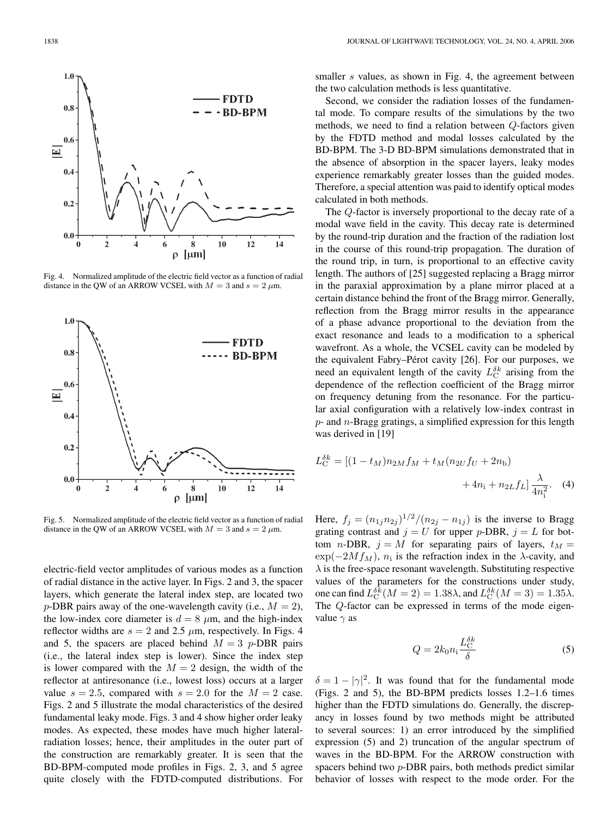

Fig. 4. Normalized amplitude of the electric field vector as a function of radial distance in the QW of an ARROW VCSEL with  $M = 3$  and  $s = 2 \mu m$ .



Fig. 5. Normalized amplitude of the electric field vector as a function of radial distance in the QW of an ARROW VCSEL with  $M = 3$  and  $s = 2 \mu m$ .

electric-field vector amplitudes of various modes as a function of radial distance in the active layer. In Figs. 2 and 3, the spacer layers, which generate the lateral index step, are located two p-DBR pairs away of the one-wavelength cavity (i.e.,  $M = 2$ ), the low-index core diameter is  $d = 8 \mu m$ , and the high-index reflector widths are  $s = 2$  and 2.5  $\mu$ m, respectively. In Figs. 4 and 5, the spacers are placed behind  $M = 3$  p-DBR pairs (i.e., the lateral index step is lower). Since the index step is lower compared with the  $M = 2$  design, the width of the reflector at antiresonance (i.e., lowest loss) occurs at a larger value  $s = 2.5$ , compared with  $s = 2.0$  for the  $M = 2$  case. Figs. 2 and 5 illustrate the modal characteristics of the desired fundamental leaky mode. Figs. 3 and 4 show higher order leaky modes. As expected, these modes have much higher lateralradiation losses; hence, their amplitudes in the outer part of the construction are remarkably greater. It is seen that the BD-BPM-computed mode profiles in Figs. 2, 3, and 5 agree quite closely with the FDTD-computed distributions. For smaller s values, as shown in Fig. 4, the agreement between the two calculation methods is less quantitative.

Second, we consider the radiation losses of the fundamental mode. To compare results of the simulations by the two methods, we need to find a relation between Q-factors given by the FDTD method and modal losses calculated by the BD-BPM. The 3-D BD-BPM simulations demonstrated that in the absence of absorption in the spacer layers, leaky modes experience remarkably greater losses than the guided modes. Therefore, a special attention was paid to identify optical modes calculated in both methods.

The Q-factor is inversely proportional to the decay rate of a modal wave field in the cavity. This decay rate is determined by the round-trip duration and the fraction of the radiation lost in the course of this round-trip propagation. The duration of the round trip, in turn, is proportional to an effective cavity length. The authors of [25] suggested replacing a Bragg mirror in the paraxial approximation by a plane mirror placed at a certain distance behind the front of the Bragg mirror. Generally, reflection from the Bragg mirror results in the appearance of a phase advance proportional to the deviation from the exact resonance and leads to a modification to a spherical wavefront. As a whole, the VCSEL cavity can be modeled by the equivalent Fabry–Pérot cavity [26]. For our purposes, we need an equivalent length of the cavity  $L_{\rm C}^{\delta k}$  arising from the dependence of the reflection coefficient of the Bragg mirror on frequency detuning from the resonance. For the particular axial configuration with a relatively low-index contrast in  $p$ - and  $n$ -Bragg gratings, a simplified expression for this length was derived in [19]

$$
L_{\rm C}^{\delta k} = [(1 - t_M)n_{2M}f_M + t_M(n_{2U}f_U + 2n_{\rm b}) + 4n_{\rm i} + n_{2L}f_L] \frac{\lambda}{4n_{\rm i}^2}.
$$
 (4)

Here,  $f_j = (n_{1j}n_{2j})^{1/2}/(n_{2j} - n_{1j})$  is the inverse to Bragg grating contrast and  $j = U$  for upper p-DBR,  $j = L$  for bottom n-DBR,  $j = M$  for separating pairs of layers,  $t_M =$  $\exp(-2Mf_M)$ ,  $n_i$  is the refraction index in the  $\lambda$ -cavity, and  $\lambda$  is the free-space resonant wavelength. Substituting respective values of the parameters for the constructions under study, one can find  $L_{\rm C}^{\delta \bar{k}}(M=2)=1.38\lambda$ , and  $L_{\rm C}^{\delta k}(M=3)=1.35\lambda$ . The Q-factor can be expressed in terms of the mode eigenvalue  $\gamma$  as

$$
Q = 2k_0 n_1 \frac{L_C^{\delta k}}{\delta} \tag{5}
$$

 $\delta = 1 - |\gamma|^2$ . It was found that for the fundamental mode (Figs. 2 and 5), the BD-BPM predicts losses 1.2–1.6 times higher than the FDTD simulations do. Generally, the discrepancy in losses found by two methods might be attributed to several sources: 1) an error introduced by the simplified expression (5) and 2) truncation of the angular spectrum of waves in the BD-BPM. For the ARROW construction with spacers behind two p-DBR pairs, both methods predict similar behavior of losses with respect to the mode order. For the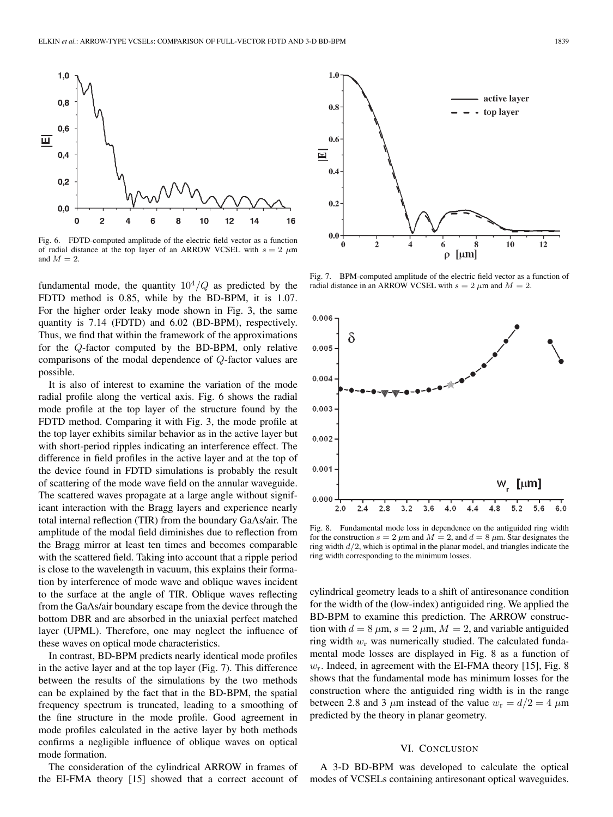

Fig. 6. FDTD-computed amplitude of the electric field vector as a function of radial distance at the top layer of an ARROW VCSEL with  $s = 2 \mu m$ and  $M = 2$ .

fundamental mode, the quantity  $10^4/Q$  as predicted by the FDTD method is 0.85, while by the BD-BPM, it is 1.07. For the higher order leaky mode shown in Fig. 3, the same quantity is 7.14 (FDTD) and 6.02 (BD-BPM), respectively. Thus, we find that within the framework of the approximations for the Q-factor computed by the BD-BPM, only relative comparisons of the modal dependence of Q-factor values are possible.

It is also of interest to examine the variation of the mode radial profile along the vertical axis. Fig. 6 shows the radial mode profile at the top layer of the structure found by the FDTD method. Comparing it with Fig. 3, the mode profile at the top layer exhibits similar behavior as in the active layer but with short-period ripples indicating an interference effect. The difference in field profiles in the active layer and at the top of the device found in FDTD simulations is probably the result of scattering of the mode wave field on the annular waveguide. The scattered waves propagate at a large angle without significant interaction with the Bragg layers and experience nearly total internal reflection (TIR) from the boundary GaAs/air. The amplitude of the modal field diminishes due to reflection from the Bragg mirror at least ten times and becomes comparable with the scattered field. Taking into account that a ripple period is close to the wavelength in vacuum, this explains their formation by interference of mode wave and oblique waves incident to the surface at the angle of TIR. Oblique waves reflecting from the GaAs/air boundary escape from the device through the bottom DBR and are absorbed in the uniaxial perfect matched layer (UPML). Therefore, one may neglect the influence of these waves on optical mode characteristics.

In contrast, BD-BPM predicts nearly identical mode profiles in the active layer and at the top layer (Fig. 7). This difference between the results of the simulations by the two methods can be explained by the fact that in the BD-BPM, the spatial frequency spectrum is truncated, leading to a smoothing of the fine structure in the mode profile. Good agreement in mode profiles calculated in the active layer by both methods confirms a negligible influence of oblique waves on optical mode formation.

The consideration of the cylindrical ARROW in frames of the EI-FMA theory [15] showed that a correct account of



Fig. 7. BPM-computed amplitude of the electric field vector as a function of radial distance in an ARROW VCSEL with  $s = 2 \mu m$  and  $M = 2$ .



Fig. 8. Fundamental mode loss in dependence on the antiguided ring width for the construction  $s = 2 \mu m$  and  $M = 2$ , and  $d = 8 \mu m$ . Star designates the ring width  $d/2$ , which is optimal in the planar model, and triangles indicate the ring width corresponding to the minimum losses.

cylindrical geometry leads to a shift of antiresonance condition for the width of the (low-index) antiguided ring. We applied the BD-BPM to examine this prediction. The ARROW construction with  $d = 8 \mu m$ ,  $s = 2 \mu m$ ,  $M = 2$ , and variable antiguided ring width  $w_r$  was numerically studied. The calculated fundamental mode losses are displayed in Fig. 8 as a function of  $w_r$ . Indeed, in agreement with the EI-FMA theory [15], Fig. 8 shows that the fundamental mode has minimum losses for the construction where the antiguided ring width is in the range between 2.8 and 3  $\mu$ m instead of the value  $w_r = d/2 = 4 \mu$ m predicted by the theory in planar geometry.

# VI. CONCLUSION

A 3-D BD-BPM was developed to calculate the optical modes of VCSELs containing antiresonant optical waveguides.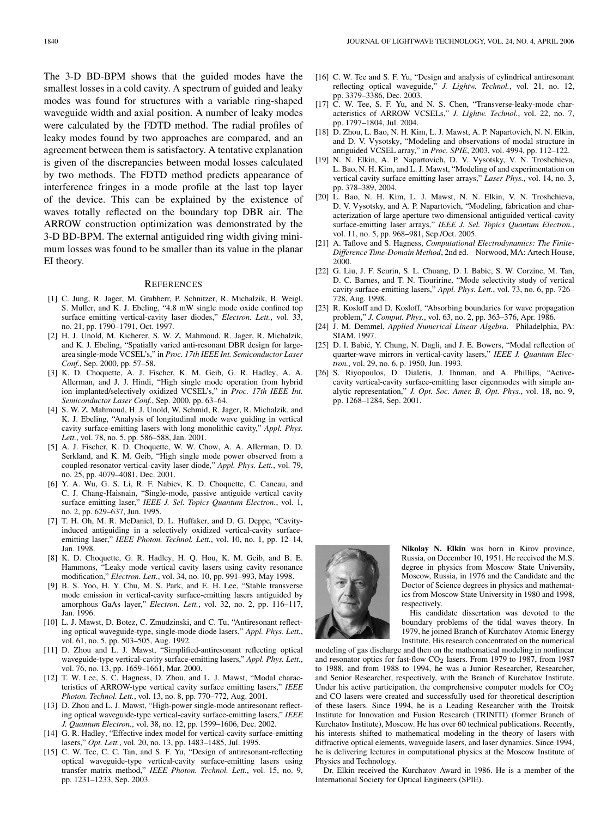The 3-D BD-BPM shows that the guided modes have the smallest losses in a cold cavity. A spectrum of guided and leaky modes was found for structures with a variable ring-shaped waveguide width and axial position. A number of leaky modes were calculated by the FDTD method. The radial profiles of leaky modes found by two approaches are compared, and an agreement between them is satisfactory. A tentative explanation is given of the discrepancies between modal losses calculated by two methods. The FDTD method predicts appearance of interference fringes in a mode profile at the last top layer of the device. This can be explained by the existence of waves totally reflected on the boundary top DBR air. The ARROW construction optimization was demonstrated by the 3-D BD-BPM. The external antiguided ring width giving minimum losses was found to be smaller than its value in the planar EI theory.

#### **REFERENCES**

- [1] C. Jung, R. Jager, M. Grabherr, P. Schnitzer, R. Michalzik, B. Weigl, S. Muller, and K. J. Ebeling, "4.8 mW single mode oxide confined top surface emitting vertical-cavity laser diodes," *Electron. Lett.*, vol. 33, no. 21, pp. 1790–1791, Oct. 1997.
- [2] H. J. Unold, M. Kicherer, S. W. Z. Mahmoud, R. Jager, R. Michalzik, and K. J. Ebeling, "Spatially varied anti-resonant DBR design for largearea single-mode VCSEL's," in *Proc. 17th IEEE Int. Semiconductor Laser Conf.*, Sep. 2000, pp. 57–58.
- [3] K. D. Choquette, A. J. Fischer, K. M. Geib, G. R. Hadley, A. A. Allerman, and J. J. Hindi, "High single mode operation from hybrid ion implanted/selectively oxidized VCSEL's," in *Proc. 17th IEEE Int. Semiconductor Laser Conf.*, Sep. 2000, pp. 63–64.
- [4] S. W. Z. Mahmoud, H. J. Unold, W. Schmid, R. Jager, R. Michalzik, and K. J. Ebeling, "Analysis of longitudinal mode wave guiding in vertical cavity surface-emitting lasers with long monolithic cavity," *Appl. Phys. Lett.*, vol. 78, no. 5, pp. 586–588, Jan. 2001.
- [5] A. J. Fischer, K. D. Choquette, W. W. Chow, A. A. Allerman, D. D. Serkland, and K. M. Geib, "High single mode power observed from a coupled-resonator vertical-cavity laser diode," *Appl. Phys. Lett.*, vol. 79, no. 25, pp. 4079–4081, Dec. 2001.
- [6] Y. A. Wu, G. S. Li, R. F. Nabiev, K. D. Choquette, C. Caneau, and C. J. Chang-Haisnain, "Single-mode, passive antiguide vertical cavity surface emitting laser," *IEEE J. Sel. Topics Quantum Electron.*, vol. 1, no. 2, pp. 629–637, Jun. 1995.
- [7] T. H. Oh, M. R. McDaniel, D. L. Huffaker, and D. G. Deppe, "Cavityinduced antiguiding in a selectively oxidized vertical-cavity surfaceemitting laser," *IEEE Photon. Technol. Lett.*, vol. 10, no. 1, pp. 12–14, Jan. 1998.
- [8] K. D. Choquette, G. R. Hadley, H. Q. Hou, K. M. Geib, and B. E. Hammons, "Leaky mode vertical cavity lasers using cavity resonance modification," *Electron. Lett.*, vol. 34, no. 10, pp. 991–993, May 1998.
- [9] B. S. Yoo, H. Y. Chu, M. S. Park, and E. H. Lee, "Stable transverse mode emission in vertical-cavity surface-emitting lasers antiguided by amorphous GaAs layer," *Electron. Lett.*, vol. 32, no. 2, pp. 116–117, Jan. 1996.
- [10] L. J. Mawst, D. Botez, C. Zmudzinski, and C. Tu, "Antiresonant reflecting optical waveguide-type, single-mode diode lasers," *Appl. Phys. Lett.*, vol. 61, no. 5, pp. 503–505, Aug. 1992.
- [11] D. Zhou and L. J. Mawst, "Simplified-antiresonant reflecting optical waveguide-type vertical-cavity surface-emitting lasers," *Appl. Phys. Lett.*, vol. 76, no. 13, pp. 1659–1661, Mar. 2000.
- [12] T. W. Lee, S. C. Hagness, D. Zhou, and L. J. Mawst, "Modal characteristics of ARROW-type vertical cavity surface emitting lasers," *IEEE Photon. Technol. Lett.*, vol. 13, no. 8, pp. 770–772, Aug. 2001.
- [13] D. Zhou and L. J. Mawst, "High-power single-mode antiresonant reflecting optical waveguide-type vertical-cavity surface-emitting lasers," *IEEE J. Quantum Electron.*, vol. 38, no. 12, pp. 1599–1606, Dec. 2002.
- [14] G. R. Hadley, "Effective index model for vertical-cavity surface-emitting lasers," *Opt. Lett.*, vol. 20, no. 13, pp. 1483–1485, Jul. 1995.
- [15] C. W. Tee, C. C. Tan, and S. F. Yu, "Design of antiresonant-reflecting optical waveguide-type vertical-cavity surface-emitting lasers using transfer matrix method," *IEEE Photon. Technol. Lett.*, vol. 15, no. 9, pp. 1231–1233, Sep. 2003.
- [16] C. W. Tee and S. F. Yu, "Design and analysis of cylindrical antiresonant reflecting optical waveguide," *J. Lightw. Technol.*, vol. 21, no. 12, pp. 3379–3386, Dec. 2003.
- [17] C. W. Tee, S. F. Yu, and N. S. Chen, "Transverse-leaky-mode characteristics of ARROW VCSELs," *J. Lightw. Technol.*, vol. 22, no. 7, pp. 1797–1804, Jul. 2004.
- [18] D. Zhou, L. Bao, N. H. Kim, L. J. Mawst, A. P. Napartovich, N. N. Elkin, and D. V. Vysotsky, "Modeling and observations of modal structure in antiguided VCSEL array," in *Proc. SPIE*, 2003, vol. 4994, pp. 112–122.
- [19] N. N. Elkin, A. P. Napartovich, D. V. Vysotsky, V. N. Troshchieva, L. Bao, N. H. Kim, and L. J. Mawst, "Modeling of and experimentation on vertical cavity surface emitting laser arrays," *Laser Phys.*, vol. 14, no. 3, pp. 378–389, 2004.
- [20] L. Bao, N. H. Kim, L. J. Mawst, N. N. Elkin, V. N. Troshchieva, D. V. Vysotsky, and A. P. Napartovich, "Modeling, fabrication and characterization of large aperture two-dimensional antiguided vertical-cavity surface-emitting laser arrays," *IEEE J. Sel. Topics Quantum Electron.*, vol. 11, no. 5, pp. 968–981, Sep./Oct. 2005.
- [21] A. Taflove and S. Hagness, *Computational Electrodynamics: The Finite-Difference Time-Domain Method*, 2nd ed. Norwood, MA: Artech House, 2000.
- [22] G. Liu, J. F. Seurin, S. L. Chuang, D. I. Babic, S. W. Corzine, M. Tan, D. C. Barnes, and T. N. Tiouririne, "Mode selectivity study of vertical cavity surface-emitting lasers," *Appl. Phys. Lett.*, vol. 73, no. 6, pp. 726– 728, Aug. 1998.
- [23] R. Kosloff and D. Kosloff, "Absorbing boundaries for wave propagation problem," *J. Comput. Phys.*, vol. 63, no. 2, pp. 363–376, Apr. 1986.
- [24] J. M. Demmel, *Applied Numerical Linear Algebra*. Philadelphia, PA: SIAM, 1997.
- [25] D. I. Babić, Y. Chung, N. Dagli, and J. E. Bowers, "Modal reflection of quarter-wave mirrors in vertical-cavity lasers," *IEEE J. Quantum Electron.*, vol. 29, no. 6, p. 1950, Jun. 1993.
- [26] S. Riyopoulos, D. Dialetis, J. Ihnman, and A. Phillips, "Activecavity vertical-cavity surface-emitting laser eigenmodes with simple analytic representation," *J. Opt. Soc. Amer. B, Opt. Phys.*, vol. 18, no. 9, pp. 1268–1284, Sep. 2001.



**Nikolay N. Elkin** was born in Kirov province, Russia, on December 10, 1951. He received the M.S. degree in physics from Moscow State University, Moscow, Russia, in 1976 and the Candidate and the Doctor of Science degrees in physics and mathematics from Moscow State University in 1980 and 1998, respectively.

His candidate dissertation was devoted to the boundary problems of the tidal waves theory. In 1979, he joined Branch of Kurchatov Atomic Energy Institute. His research concentrated on the numerical

modeling of gas discharge and then on the mathematical modeling in nonlinear and resonator optics for fast-flow  $CO<sub>2</sub>$  lasers. From 1979 to 1987, from 1987 to 1988, and from 1988 to 1994, he was a Junior Researcher, Researcher, and Senior Researcher, respectively, with the Branch of Kurchatov Institute. Under his active participation, the comprehensive computer models for  $CO<sub>2</sub>$ and CO lasers were created and successfully used for theoretical description of these lasers. Since 1994, he is a Leading Researcher with the Troitsk Institute for Innovation and Fusion Research (TRINITI) (former Branch of Kurchatov Institute), Moscow. He has over 60 technical publications. Recently, his interests shifted to mathematical modeling in the theory of lasers with diffractive optical elements, waveguide lasers, and laser dynamics. Since 1994, he is delivering lectures in computational physics at the Moscow Institute of Physics and Technology.

Dr. Elkin received the Kurchatov Award in 1986. He is a member of the International Society for Optical Engineers (SPIE).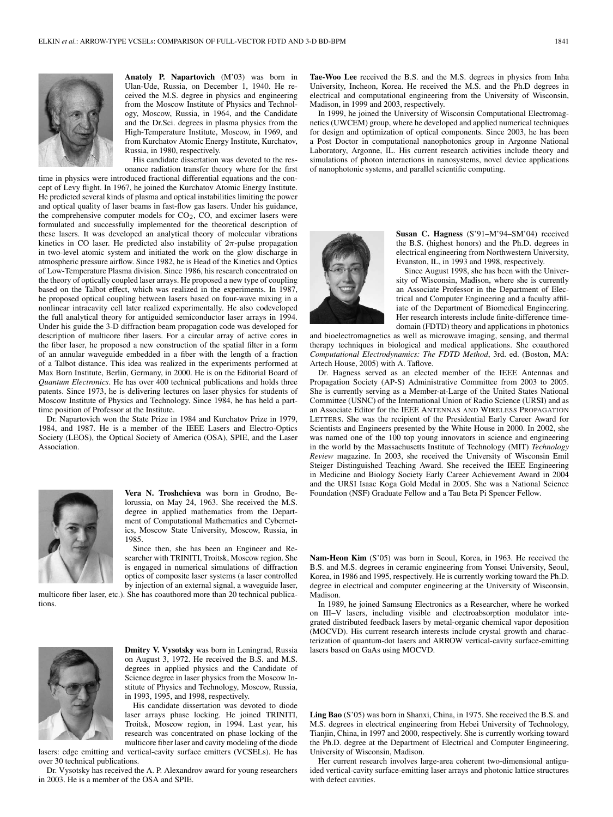

**Anatoly P. Napartovich** (M'03) was born in Ulan-Ude, Russia, on December 1, 1940. He received the M.S. degree in physics and engineering from the Moscow Institute of Physics and Technology, Moscow, Russia, in 1964, and the Candidate and the Dr.Sci. degrees in plasma physics from the High-Temperature Institute, Moscow, in 1969, and from Kurchatov Atomic Energy Institute, Kurchatov, Russia, in 1980, respectively.

His candidate dissertation was devoted to the resonance radiation transfer theory where for the first

time in physics were introduced fractional differential equations and the concept of Levy flight. In 1967, he joined the Kurchatov Atomic Energy Institute. He predicted several kinds of plasma and optical instabilities limiting the power and optical quality of laser beams in fast-flow gas lasers. Under his guidance, the comprehensive computer models for CO<sub>2</sub>, CO, and excimer lasers were formulated and successfully implemented for the theoretical description of these lasers. It was developed an analytical theory of molecular vibrations kinetics in CO laser. He predicted also instability of  $2\pi$ -pulse propagation in two-level atomic system and initiated the work on the glow discharge in atmospheric pressure airflow. Since 1982, he is Head of the Kinetics and Optics of Low-Temperature Plasma division. Since 1986, his research concentrated on the theory of optically coupled laser arrays. He proposed a new type of coupling based on the Talbot effect, which was realized in the experiments. In 1987, he proposed optical coupling between lasers based on four-wave mixing in a nonlinear intracavity cell later realized experimentally. He also codeveloped the full analytical theory for antiguided semiconductor laser arrays in 1994. Under his guide the 3-D diffraction beam propagation code was developed for description of multicore fiber lasers. For a circular array of active cores in the fiber laser, he proposed a new construction of the spatial filter in a form of an annular waveguide embedded in a fiber with the length of a fraction of a Talbot distance. This idea was realized in the experiments performed at Max Born Institute, Berlin, Germany, in 2000. He is on the Editorial Board of *Quantum Electronics*. He has over 400 technical publications and holds three patents. Since 1973, he is delivering lectures on laser physics for students of Moscow Institute of Physics and Technology. Since 1984, he has held a parttime position of Professor at the Institute.

Dr. Napartovich won the State Prize in 1984 and Kurchatov Prize in 1979, 1984, and 1987. He is a member of the IEEE Lasers and Electro-Optics Society (LEOS), the Optical Society of America (OSA), SPIE, and the Laser Association.



**Vera N. Troshchieva** was born in Grodno, Belorussia, on May 24, 1963. She received the M.S. degree in applied mathematics from the Department of Computational Mathematics and Cybernetics, Moscow State University, Moscow, Russia, in 1985.

Since then, she has been an Engineer and Researcher with TRINITI, Troitsk, Moscow region. She is engaged in numerical simulations of diffraction optics of composite laser systems (a laser controlled by injection of an external signal, a waveguide laser,

multicore fiber laser, etc.). She has coauthored more than 20 technical publications.

**Dmitry V. Vysotsky** was born in Leningrad, Russia on August 3, 1972. He received the B.S. and M.S. degrees in applied physics and the Candidate of Science degree in laser physics from the Moscow Institute of Physics and Technology, Moscow, Russia, in 1993, 1995, and 1998, respectively.

His candidate dissertation was devoted to diode laser arrays phase locking. He joined TRINITI, Troitsk, Moscow region, in 1994. Last year, his research was concentrated on phase locking of the multicore fiber laser and cavity modeling of the diode

lasers: edge emitting and vertical-cavity surface emitters (VCSELs). He has over 30 technical publications.

Dr. Vysotsky has received the A. P. Alexandrov award for young researchers in 2003. He is a member of the OSA and SPIE.

**Tae-Woo Lee** received the B.S. and the M.S. degrees in physics from Inha University, Incheon, Korea. He received the M.S. and the Ph.D degrees in electrical and computational engineering from the University of Wisconsin, Madison, in 1999 and 2003, respectively.

In 1999, he joined the University of Wisconsin Computational Electromagnetics (UWCEM) group, where he developed and applied numerical techniques for design and optimization of optical components. Since 2003, he has been a Post Doctor in computational nanophotonics group in Argonne National Laboratory, Argonne, IL. His current research activities include theory and simulations of photon interactions in nanosystems, novel device applications of nanophotonic systems, and parallel scientific computing.



**Susan C. Hagness** (S'91–M'94–SM'04) received the B.S. (highest honors) and the Ph.D. degrees in electrical engineering from Northwestern University, Evanston, IL, in 1993 and 1998, respectively.

Since August 1998, she has been with the University of Wisconsin, Madison, where she is currently an Associate Professor in the Department of Electrical and Computer Engineering and a faculty affiliate of the Department of Biomedical Engineering. Her research interests include finite-difference timedomain (FDTD) theory and applications in photonics

and bioelectromagnetics as well as microwave imaging, sensing, and thermal therapy techniques in biological and medical applications. She coauthored *Computational Electrodynamics: The FDTD Method*, 3rd. ed. (Boston, MA: Artech House, 2005) with A. Taflove.

Dr. Hagness served as an elected member of the IEEE Antennas and Propagation Society (AP-S) Administrative Committee from 2003 to 2005. She is currently serving as a Member-at-Large of the United States National Committee (USNC) of the International Union of Radio Science (URSI) and as an Associate Editor for the IEEE ANTENNAS AND WIRELESS PROPAGATION LETTERS. She was the recipient of the Presidential Early Career Award for Scientists and Engineers presented by the White House in 2000. In 2002, she was named one of the 100 top young innovators in science and engineering in the world by the Massachusetts Institute of Technology (MIT) *Technology Review* magazine. In 2003, she received the University of Wisconsin Emil Steiger Distinguished Teaching Award. She received the IEEE Engineering in Medicine and Biology Society Early Career Achievement Award in 2004 and the URSI Isaac Koga Gold Medal in 2005. She was a National Science Foundation (NSF) Graduate Fellow and a Tau Beta Pi Spencer Fellow.

**Nam-Heon Kim** (S'05) was born in Seoul, Korea, in 1963. He received the B.S. and M.S. degrees in ceramic engineering from Yonsei University, Seoul, Korea, in 1986 and 1995, respectively. He is currently working toward the Ph.D. degree in electrical and computer engineering at the University of Wisconsin, Madison.

In 1989, he joined Samsung Electronics as a Researcher, where he worked on III–V lasers, including visible and electroabsorption modulator integrated distributed feedback lasers by metal-organic chemical vapor deposition (MOCVD). His current research interests include crystal growth and characterization of quantum-dot lasers and ARROW vertical-cavity surface-emitting lasers based on GaAs using MOCVD.

**Ling Bao** (S'05) was born in Shanxi, China, in 1975. She received the B.S. and M.S. degrees in electrical engineering from Hebei University of Technology, Tianjin, China, in 1997 and 2000, respectively. She is currently working toward the Ph.D. degree at the Department of Electrical and Computer Engineering, University of Wisconsin, Madison.

Her current research involves large-area coherent two-dimensional antiguided vertical-cavity surface-emitting laser arrays and photonic lattice structures with defect cavities.